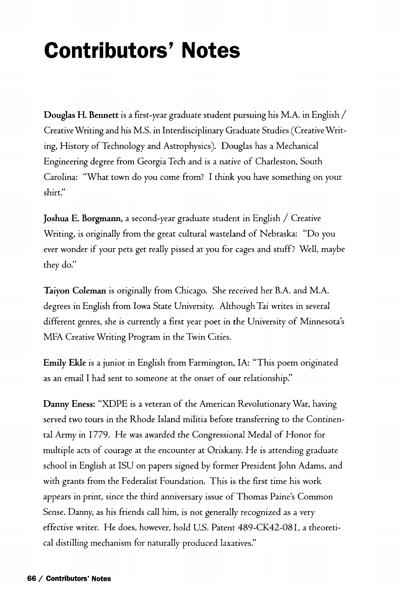## **Contributors' Notes**

**Douglas H. Bennett** is a first-year graduate student pursuing his M.A. in English / Creative Writing and his M.S. in Interdisciplinary Graduate Studies (Creative Writing, History of Technology and Astrophysics). Douglas has a Mechanical Engineering degree from Georgia Tech and *is* a native of Charleston, South Carolina: "What town do you come from? I think you have something on your shirt."

**Joshua E. Borgmann,** a second-year graduate student in English / Creative Writing, is originally from the great cultural wasteland of Nebraska: "Do you ever wonder if your pets get really pissed at you for cages and stuff? Well, maybe they do."

**Taiyon Coleman** *is* originally from Chicago. She received her B.A. and M.A. degrees in English from Iowa State University. Although Tai writes in several different genres, she is currently a first year poet in the University of Minnesota's MFA Creative Writing Program in the Twin Cities.

**Emily Ekle** is a junior in English from Farmington, IA: "This poem originated as an email I had sent to someone at the onset of our relationship."

**Danny Eness:** "XDPE is a veteran of the American Revolutionary War, having served two tours in the Rhode Island militia before transferring to the Continental Army in 1779. He was awarded the Congressional Medal of Honor for multiple acts of courage at the encounter at Oriskany. He is attending graduate school in English at ISU on papers signed by former President John Adams, and with grants from the Federalist Foundation. This is the first time his work appears in print, since the third anniversary issue of Thomas Paine's Common Sense. Danny, as his friends call him, is not generally recognized as a very effective writer. He does, however, hold U.S. Patent 489-CK42-081, a theoretical distilling mechanism for naturally produced laxatives."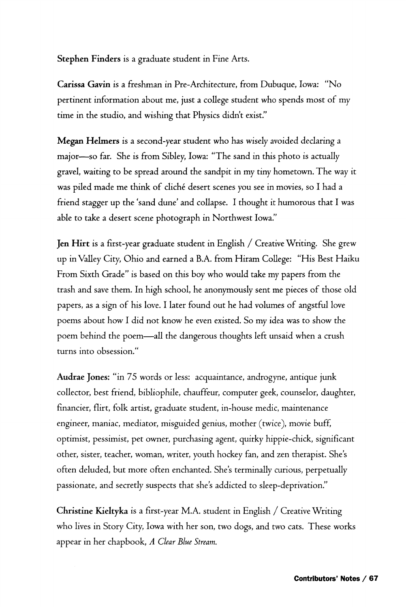**Stephen Finders** is a graduate student in Fine Arts.

**Carissa Gavin** is a freshman in Pre-Architecture, from Dubuque, Iowa: "No pertinent information about me, just a college student who spends most of my time in the studio, and wishing that Physics didn't exist."

**Megan Helmers** is a second-year student who has wisely avoided declaring a major—so far. She is from Sibley, Iowa: "The sand in this photo is actually gravel, waiting to be spread around the sandpit in my tiny hometown. The way it was piled made me think of cliché desert scenes you see in movies, so I had a friend stagger up the 'sand dune' and collapse. I thought it humorous that I was able to take a desert scene photograph in Northwest Iowa,"

**Jen Hirt** is a first-year graduate student in English / Creative Writing. She grew up in Valley City, Ohio and earned a B.A. from Hiram College: "His Best Haiku From Sixth Grade" is based on this boy who would take my papers from the trash and save them. In high school, he anonymously sent me pieces of those old papers, as a sign of his love. I later found out he had volumes of angstful love poems about how I did not know he even existed. So my idea was to show the poem behind the poem—all the dangerous thoughts left unsaid when a crush turns into obsession."

**Audrae Jones:** "in 75 words or less: acquaintance, androgyne, antique junk collector, best friend, bibliophile, chauffeur, computer geek, counselor, daughter, financier, flirt, folk artist, graduate student, in-house medic, maintenance engineer, maniac, mediator, misguided genius, mother (twice), movie buff, optimist, pessimist, pet owner, purchasing agent, quirky hippie-chick, significant other, sister, teacher, woman, writer, youth hockey fan, and zen therapist. She's often deluded, but more often enchanted. She's terminally curious, perpetually passionate, and secretly suspects that she's addicted to sleep-deprivation."

**Christine Kieltyka** *is* a first-year M.A. student in English / Creative Writing who lives in Story City, Iowa with her son, two dogs, and two cats. These works appear in her chapbook, *A Clear Blue Stream.*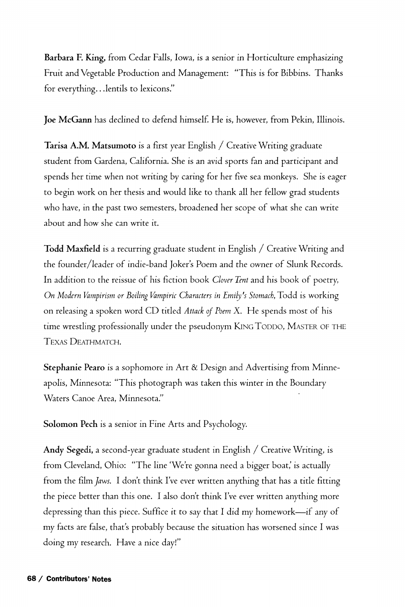**Barbara F. King,** from Cedar Falls, Iowa, is a senior in Horticulture emphasizing Fruit and Vegetable Production and Management: "This is for Bibbins. Thanks for everything...lentils to lexicons."

**Joe McGann** has declined to defend himself. He is, however, from Pekin, Illinois.

**Tarisa AJM. Matsumoto** is a first year English / Creative Writing graduate student from Gardena, California. She is an avid sports fan and participant and spends her time when not writing by caring for her five sea monkeys. She is eager to begin work on her thesis and would like to thank all her fellow grad students who have, in the past two semesters, broadened her scope of what she can write about and how she can write it.

**Todd Maxfield** is a recurring graduate student in English / Creative Writing and the founder/leader of indie-band Joker's Poem and the owner of Slunk Records. In addition to the reissue of his fiction book *Clover Tent* and his book of poetry, *On Modern Vampirism or Boiling Vampiric Characters in Emily's Stomach,Todd* is working on releasing a spoken word CD titled *Attack of Poem* X. He spends most of his time wrestling professionally under the pseudonym KING TODDO, MASTER OF THE TEXAS DEATHMATCH.

**Stephanie Pearo** is a sophomore *in* Art & Design and Advertising from Minneapolis, Minnesota: "This photograph was taken this winter in the Boundary Waters Canoe Area, Minnesota."

**Solomon Pech** is a senior in Fine Arts and Psychology.

**Andy Segedi,** a second-year graduate student in English / Creative Writing, is from Cleveland, Ohio: "The line 'We're gonna need a bigger boat,' is actually from the film *Jaws*. I don't think I've ever written anything that has a title fitting the piece better than this one. I also don't think I've ever written anything more depressing than this piece. Suffice it to say that I did my homework—if any of my facts are false, that's probably because the situation has worsened since I was doing my research. Have a nice day!"